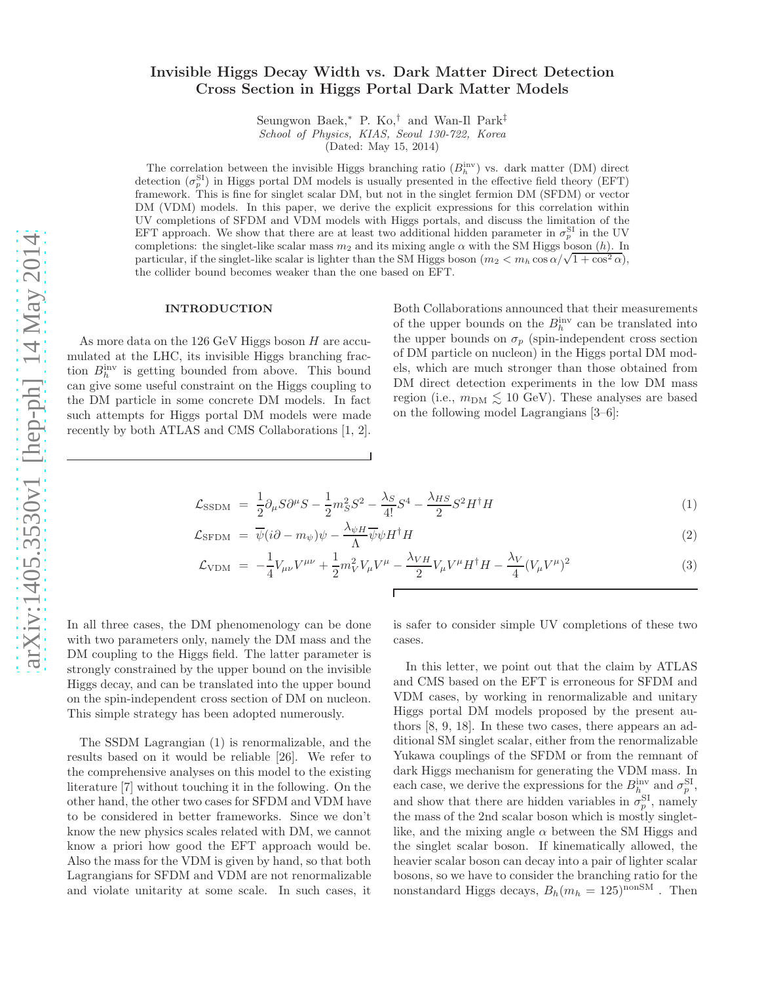# Invisible Higgs Decay Width vs. Dark Matter Direct Detection Cross Section in Higgs Portal Dark Matter Models

Seungwon Baek,<sup>∗</sup> P. Ko,† and Wan-Il Park‡ School of Physics, KIAS, Seoul 130-722, Korea

(Dated: May 15, 2014)

The correlation between the invisible Higgs branching ratio  $(B<sub>h</sub><sup>inv</sup>)$  vs. dark matter (DM) direct detection  $(\sigma_p^{\text{SI}})$  in Higgs portal DM models is usually presented in the effective field theory (EFT) framework. This is fine for singlet scalar DM, but not in the singlet fermion DM (SFDM) or vector DM (VDM) models. In this paper, we derive the explicit expressions for this correlation within UV completions of SFDM and VDM models with Higgs portals, and discuss the limitation of the EFT approach. We show that there are at least two additional hidden parameter in  $\sigma_p^{\text{SI}}$  in the UV completions: the singlet-like scalar mass  $m_2$  and its mixing angle  $\alpha$  with the SM Higgs boson (h). In particular, if the singlet-like scalar is lighter than the SM Higgs boson  $(m_2 < m_h \cos \alpha/\sqrt{1 + \cos^2 \alpha})$ , the collider bound becomes weaker than the one based on EFT.

#### INTRODUCTION

As more data on the  $126 \text{ GeV}$  Higgs boson  $H$  are accumulated at the LHC, its invisible Higgs branching fraction  $B_h^{\text{inv}}$  is getting bounded from above. This bound can give some useful constraint on the Higgs coupling to the DM particle in some concrete DM models. In fact such attempts for Higgs portal DM models were made recently by both ATLAS and CMS Collaborations [1, 2]. Both Collaborations announced that their measurements of the upper bounds on the  $B_h^{\text{inv}}$  can be translated into the upper bounds on  $\sigma_p$  (spin-independent cross section of DM particle on nucleon) in the Higgs portal DM models, which are much stronger than those obtained from DM direct detection experiments in the low DM mass region (i.e.,  $m_{\text{DM}} \lesssim 10 \text{ GeV}$ ). These analyses are based on the following model Lagrangians [3–6]:

$$
\mathcal{L}_{\text{SSDM}} = \frac{1}{2} \partial_{\mu} S \partial^{\mu} S - \frac{1}{2} m_S^2 S^2 - \frac{\lambda_S}{4!} S^4 - \frac{\lambda_{HS}}{2} S^2 H^{\dagger} H \tag{1}
$$

$$
\mathcal{L}_{\text{SFDM}} = \overline{\psi}(i\partial - m_{\psi})\psi - \frac{\lambda_{\psi H}}{\Lambda} \overline{\psi}\psi H^{\dagger}H \tag{2}
$$

$$
\mathcal{L}_{\text{VDM}} = -\frac{1}{4} V_{\mu\nu} V^{\mu\nu} + \frac{1}{2} m_V^2 V_{\mu} V^{\mu} - \frac{\lambda_{VH}}{2} V_{\mu} V^{\mu} H^{\dagger} H - \frac{\lambda_V}{4} (V_{\mu} V^{\mu})^2 \tag{3}
$$

In all three cases, the DM phenomenology can be done with two parameters only, namely the DM mass and the DM coupling to the Higgs field. The latter parameter is strongly constrained by the upper bound on the invisible Higgs decay, and can be translated into the upper bound on the spin-independent cross section of DM on nucleon. This simple strategy has been adopted numerously.

The SSDM Lagrangian (1) is renormalizable, and the results based on it would be reliable [26]. We refer to the comprehensive analyses on this model to the existing literature [7] without touching it in the following. On the other hand, the other two cases for SFDM and VDM have to be considered in better frameworks. Since we don't know the new physics scales related with DM, we cannot know a priori how good the EFT approach would be. Also the mass for the VDM is given by hand, so that both Lagrangians for SFDM and VDM are not renormalizable and violate unitarity at some scale. In such cases, it

is safer to consider simple UV completions of these two cases.

In this letter, we point out that the claim by ATLAS and CMS based on the EFT is erroneous for SFDM and VDM cases, by working in renormalizable and unitary Higgs portal DM models proposed by the present authors [8, 9, 18]. In these two cases, there appears an additional SM singlet scalar, either from the renormalizable Yukawa couplings of the SFDM or from the remnant of dark Higgs mechanism for generating the VDM mass. In each case, we derive the expressions for the  $B_h^{\text{inv}}$  and  $\sigma_p^{\text{SI}}$ , and show that there are hidden variables in  $\sigma_p^{\text{SI}}$ , namely the mass of the 2nd scalar boson which is mostly singletlike, and the mixing angle  $\alpha$  between the SM Higgs and the singlet scalar boson. If kinematically allowed, the heavier scalar boson can decay into a pair of lighter scalar bosons, so we have to consider the branching ratio for the nonstandard Higgs decays,  $B_h(m_h = 125)^{\text{nonSM}}$ . Then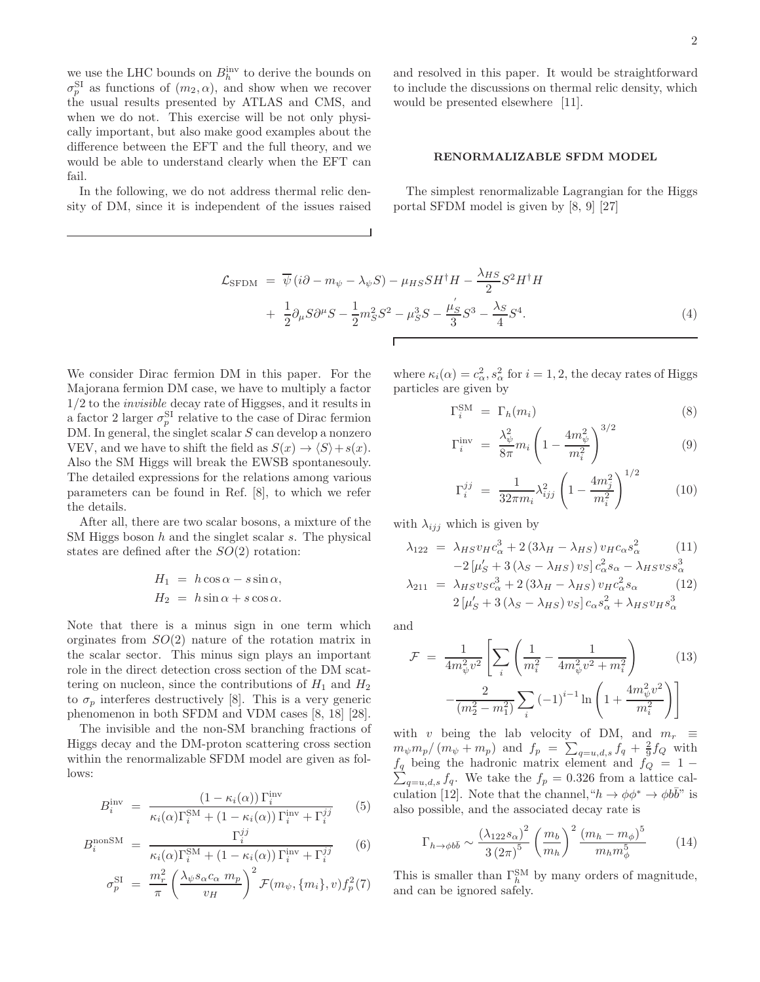we use the LHC bounds on  $B_h^{\text{inv}}$  to derive the bounds on  $\sigma_p^{\text{SI}}$  as functions of  $(m_2, \alpha)$ , and show when we recover the usual results presented by ATLAS and CMS, and when we do not. This exercise will be not only physically important, but also make good examples about the difference between the EFT and the full theory, and we would be able to understand clearly when the EFT can fail.

In the following, we do not address thermal relic density of DM, since it is independent of the issues raised and resolved in this paper. It would be straightforward to include the discussions on thermal relic density, which would be presented elsewhere [11].

## RENORMALIZABLE SFDM MODEL

The simplest renormalizable Lagrangian for the Higgs portal SFDM model is given by [8, 9] [27]

$$
\mathcal{L}_{\text{SFDM}} = \overline{\psi}(i\partial - m_{\psi} - \lambda_{\psi}S) - \mu_{HS}SH^{\dagger}H - \frac{\lambda_{HS}}{2}S^{2}H^{\dagger}H + \frac{1}{2}\partial_{\mu}S\partial^{\mu}S - \frac{1}{2}m_{S}^{2}S^{2} - \mu_{S}^{3}S - \frac{\mu_{S}'}{3}S^{3} - \frac{\lambda_{S}}{4}S^{4}.
$$
\n(4)

We consider Dirac fermion DM in this paper. For the Majorana fermion DM case, we have to multiply a factor 1/2 to the invisible decay rate of Higgses, and it results in a factor 2 larger  $\sigma_p^{\text{SI}}$  relative to the case of Dirac fermion DM. In general, the singlet scalar S can develop a nonzero VEV, and we have to shift the field as  $S(x) \rightarrow \langle S \rangle + s(x)$ . Also the SM Higgs will break the EWSB spontanesouly. The detailed expressions for the relations among various parameters can be found in Ref. [8], to which we refer the details.

After all, there are two scalar bosons, a mixture of the SM Higgs boson  $h$  and the singlet scalar  $s$ . The physical states are defined after the  $SO(2)$  rotation:

$$
H_1 = h \cos \alpha - s \sin \alpha,
$$
  

$$
H_2 = h \sin \alpha + s \cos \alpha.
$$

Note that there is a minus sign in one term which orginates from  $SO(2)$  nature of the rotation matrix in the scalar sector. This minus sign plays an important role in the direct detection cross section of the DM scattering on nucleon, since the contributions of  $H_1$  and  $H_2$ to  $\sigma_p$  interferes destructively [8]. This is a very generic phenomenon in both SFDM and VDM cases [8, 18] [28].

The invisible and the non-SM branching fractions of Higgs decay and the DM-proton scattering cross section within the renormalizable SFDM model are given as follows:

$$
B_i^{\text{inv}} = \frac{(1 - \kappa_i(\alpha)) \Gamma_i^{\text{inv}}}{\kappa_i(\alpha) \Gamma_i^{\text{SM}} + (1 - \kappa_i(\alpha)) \Gamma_i^{\text{inv}} + \Gamma_i^{jj}} \qquad (5)
$$

$$
B_i^{\text{nonSM}} = \frac{\Gamma_i^{jj}}{\kappa_i(\alpha)\Gamma_i^{\text{SM}} + (1 - \kappa_i(\alpha))\Gamma_i^{\text{inv}} + \Gamma_i^{jj}} \qquad (6)
$$

$$
\sigma_p^{\rm SI} = \frac{m_r^2}{\pi} \left( \frac{\lambda_{\psi} s_{\alpha} c_{\alpha} m_p}{v_H} \right)^2 \mathcal{F}(m_{\psi}, \{m_i\}, v) f_p^2(7)
$$

where  $\kappa_i(\alpha) = c_{\alpha}^2$ ,  $s_{\alpha}^2$  for  $i = 1, 2$ , the decay rates of Higgs particles are given by

$$
\Gamma_i^{\rm SM} = \Gamma_h(m_i) \tag{8}
$$

$$
\Gamma_i^{\text{inv}} = \frac{\lambda_{\psi}^2}{8\pi} m_i \left( 1 - \frac{4m_{\psi}^2}{m_i^2} \right)^{3/2} \tag{9}
$$

$$
\Gamma_i^{jj} = \frac{1}{32\pi m_i} \lambda_{ijj}^2 \left( 1 - \frac{4m_j^2}{m_i^2} \right)^{1/2} \tag{10}
$$

with  $\lambda_{ijj}$  which is given by

$$
\lambda_{122} = \lambda_{HS} v_H c_\alpha^3 + 2 (3\lambda_H - \lambda_{HS}) v_H c_\alpha s_\alpha^2
$$
 (11)  
\n
$$
-2 [\mu'_S + 3 (\lambda_S - \lambda_{HS}) v_S] c_\alpha^2 s_\alpha - \lambda_{HS} v_S s_\alpha^3
$$
  
\n
$$
\lambda_{211} = \lambda_{HS} v_S c_\alpha^3 + 2 (3\lambda_H - \lambda_{HS}) v_H c_\alpha^2 s_\alpha
$$
 (12)  
\n
$$
2 [\mu'_S + 3 (\lambda_S - \lambda_{HS}) v_S] c_\alpha s_\alpha^2 + \lambda_{HS} v_H s_\alpha^3
$$

and

$$
\mathcal{F} = \frac{1}{4m_{\psi}^2 v^2} \left[ \sum_{i} \left( \frac{1}{m_i^2} - \frac{1}{4m_{\psi}^2 v^2 + m_i^2} \right) - \frac{2}{(m_2^2 - m_1^2)} \sum_{i} (-1)^{i-1} \ln \left( 1 + \frac{4m_{\psi}^2 v^2}{m_i^2} \right) \right]
$$
(13)

with v being the lab velocity of DM, and  $m_r \equiv$  $m_{\psi}m_p/(m_{\psi}+m_p)$  and  $f_p = \sum_{q=u,d,s} f_q + \frac{2}{9}f_Q$  with  $\sum$  $f_q$  being the hadronic matrix element and  $f_Q = 1$  $q=u,d,s$  fq. We take the  $f_p = 0.326$  from a lattice calculation [12]. Note that the channel, " $h \to \phi \phi^* \to \phi b \overline{b}$ " is also possible, and the associated decay rate is

$$
\Gamma_{h \to \phi b\bar{b}} \sim \frac{\left(\lambda_{122} s_{\alpha}\right)^2}{3\left(2\pi\right)^5} \left(\frac{m_b}{m_h}\right)^2 \frac{\left(m_h - m_{\phi}\right)^5}{m_h m_{\phi}^5} \tag{14}
$$

This is smaller than  $\Gamma_h^{\text{SM}}$  by many orders of magnitude, and can be ignored safely.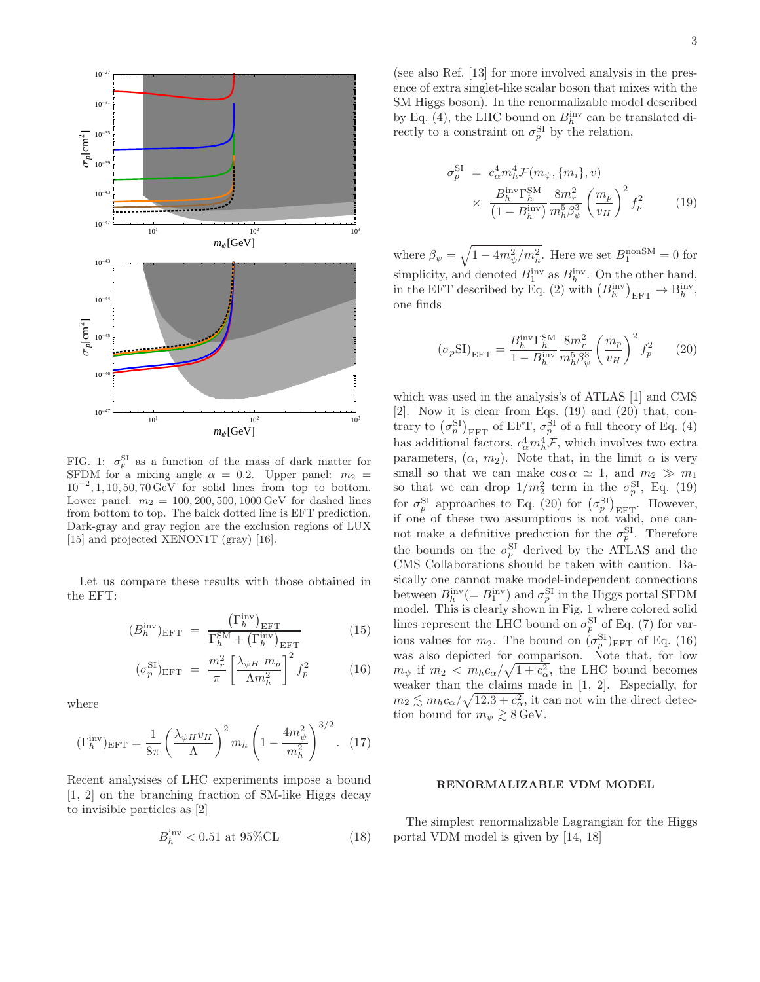

FIG. 1:  $\sigma_p^{\text{SI}}$  as a function of the mass of dark matter for SFDM for a mixing angle  $\alpha = 0.2$ . Upper panel:  $m_2$  $10^{-2}$ , 1, 10, 50, 70 GeV for solid lines from top to bottom. Lower panel:  $m_2 = 100, 200, 500, 1000 \,\text{GeV}$  for dashed lines from bottom to top. The balck dotted line is EFT prediction. Dark-gray and gray region are the exclusion regions of LUX [15] and projected XENON1T (gray) [16].

Let us compare these results with those obtained in the EFT:

$$
(B_h^{\text{inv}})_{\text{EFT}} = \frac{\left(\Gamma_h^{\text{inv}}\right)_{\text{EFT}}}{\Gamma_h^{\text{SM}} + \left(\Gamma_h^{\text{inv}}\right)_{\text{EFT}}} \tag{15}
$$

$$
(\sigma_p^{\rm SI})_{\rm EFT} = \frac{m_r^2}{\pi} \left[ \frac{\lambda_{\psi H} m_p}{\Lambda m_h^2} \right]^2 f_p^2 \tag{16}
$$

where

$$
(\Gamma_h^{\text{inv}})_{\text{EFT}} = \frac{1}{8\pi} \left(\frac{\lambda_{\psi H} v_H}{\Lambda}\right)^2 m_h \left(1 - \frac{4m_{\psi}^2}{m_h^2}\right)^{3/2}.
$$
 (17)

Recent analysises of LHC experiments impose a bound [1, 2] on the branching fraction of SM-like Higgs decay to invisible particles as [2]

$$
B_h^{\text{inv}} < 0.51 \text{ at } 95\% \text{CL} \tag{18}
$$

(see also Ref. [13] for more involved analysis in the presence of extra singlet-like scalar boson that mixes with the SM Higgs boson). In the renormalizable model described by Eq. (4), the LHC bound on  $B_h^{\text{inv}}$  can be translated directly to a constraint on  $\sigma_p^{\text{SI}}$  by the relation,

$$
\sigma_p^{\text{SI}} = c_\alpha^4 m_h^4 \mathcal{F}(m_\psi, \{m_i\}, v)
$$

$$
\times \frac{B_h^{\text{inv}} \Gamma_h^{\text{SM}}}{\left(1 - B_h^{\text{inv}}\right)} \frac{8m_r^2}{m_h^5 \beta_\psi^3} \left(\frac{m_p}{v_H}\right)^2 f_p^2 \tag{19}
$$

where  $\beta_{\psi} = \sqrt{1 - 4m_{\psi}^2/m_h^2}$ . Here we set  $B_1^{\text{nonSM}} = 0$  for simplicity, and denoted  $B_1^{\text{inv}}$  as  $B_h^{\text{inv}}$ . On the other hand, in the EFT described by Eq. (2) with  $(B<sub>h</sub><sup>inv</sup>)<sub>EFT</sub> \to B<sub>h</sub><sup>inv</sup>$ , one finds

$$
\left(\sigma_p \text{SI}\right)_{\text{EFT}} = \frac{B_h^{\text{inv}} \Gamma_h^{\text{SM}}}{1-B_h^{\text{inv}}} \frac{8 m_r^2}{m_h^5 \beta_\psi^3} \left(\frac{m_p}{v_H}\right)^2 f_p^2 \qquad (20)
$$

which was used in the analysis's of ATLAS [1] and CMS [2]. Now it is clear from Eqs. (19) and (20) that, contrary to  $(\sigma_p^{\text{SI}})_{\text{EFT}}$  of EFT,  $\sigma_p^{\text{SI}}$  of a full theory of Eq. (4) has additional factors,  $c_{\alpha}^{4}m_{h}^{4} \mathcal{F}$ , which involves two extra parameters,  $(\alpha, m_2)$ . Note that, in the limit  $\alpha$  is very small so that we can make  $\cos \alpha \simeq 1$ , and  $m_2 \gg m_1$ so that we can drop  $1/m_2^2$  term in the  $\sigma_p^{\text{SI}}$ , Eq. (19) for  $\sigma_p^{\text{SI}}$  approaches to Eq. (20) for  $(\sigma_p^{\text{SI}})_{\text{EFT}}$ . However, if one of these two assumptions is not valid, one cannot make a definitive prediction for the  $\sigma_p^{\text{SI}}$ . Therefore the bounds on the  $\sigma_p^{\text{SI}}$  derived by the ATLAS and the CMS Collaborations should be taken with caution. Basically one cannot make model-independent connections between  $B_h^{\text{inv}}(=B_1^{\text{inv}})$  and  $\sigma_p^{\text{SI}}$  in the Higgs portal SFDM model. This is clearly shown in Fig. 1 where colored solid lines represent the LHC bound on  $\sigma_p^{\text{SI}}$  of Eq. (7) for various values for  $m_2$ . The bound on  $(\sigma_p^{\text{SI}})_{\text{EFT}}$  of Eq. (16) was also depicted for comparison. Note that, for low  $m_{\psi}$  if  $m_2 < m_h c_{\alpha}/\sqrt{1+c_{\alpha}^2}$ , the LHC bound becomes weaker than the claims made in [1, 2]. Especially, for  $m_2 \lesssim m_h c_\alpha / \sqrt{12.3 + c_\alpha^2}$ , it can not win the direct detection bound for  $m_{\psi} \gtrsim 8 \,\text{GeV}.$ 

#### RENORMALIZABLE VDM MODEL

The simplest renormalizable Lagrangian for the Higgs portal VDM model is given by [14, 18]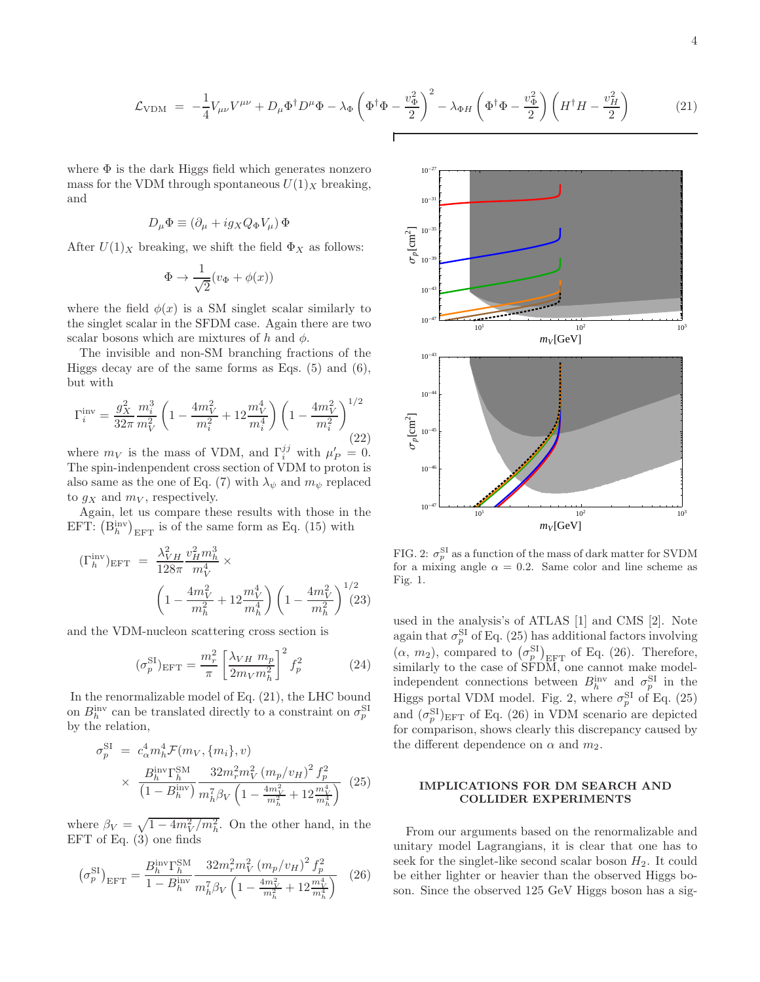$$
\mathcal{L}_{\text{VDM}} = -\frac{1}{4} V_{\mu\nu} V^{\mu\nu} + D_{\mu} \Phi^{\dagger} D^{\mu} \Phi - \lambda_{\Phi} \left( \Phi^{\dagger} \Phi - \frac{v_{\Phi}^2}{2} \right)^2 - \lambda_{\Phi H} \left( \Phi^{\dagger} \Phi - \frac{v_{\Phi}^2}{2} \right) \left( H^{\dagger} H - \frac{v_{H}^2}{2} \right) \tag{21}
$$

where  $\Phi$  is the dark Higgs field which generates nonzero mass for the VDM through spontaneous  $U(1)_X$  breaking, and

$$
D_{\mu}\Phi \equiv (\partial_{\mu} + ig_X Q_{\Phi} V_{\mu}) \Phi
$$

After  $U(1)_X$  breaking, we shift the field  $\Phi_X$  as follows:

$$
\Phi \to \frac{1}{\sqrt{2}} (v_{\Phi} + \phi(x))
$$

where the field  $\phi(x)$  is a SM singlet scalar similarly to the singlet scalar in the SFDM case. Again there are two scalar bosons which are mixtures of h and  $\phi$ .

The invisible and non-SM branching fractions of the Higgs decay are of the same forms as Eqs.  $(5)$  and  $(6)$ , but with

$$
\Gamma_i^{\text{inv}} = \frac{g_X^2}{32\pi} \frac{m_i^3}{m_V^2} \left( 1 - \frac{4m_V^2}{m_i^2} + 12\frac{m_V^4}{m_i^4} \right) \left( 1 - \frac{4m_V^2}{m_i^2} \right)^{1/2}
$$
\n(22)

where  $m_V$  is the mass of VDM, and  $\Gamma_i^{jj}$  with  $\mu'_P = 0$ . The spin-indenpendent cross section of VDM to proton is also same as the one of Eq. (7) with  $\lambda_{\psi}$  and  $m_{\psi}$  replaced to  $g_X$  and  $m_V$ , respectively.

Again, let us compare these results with those in the EFT:  $(B<sub>h</sub><sup>inv</sup>)<sub>EFT</sub>$  is of the same form as Eq. (15) with

$$
\begin{aligned} (\Gamma_h^{\text{inv}})_{\text{EFT}} &= \frac{\lambda_{VH}^2}{128\pi} \frac{v_H^2 m_h^3}{m_V^4} \times \\ & \left(1 - \frac{4m_V^2}{m_h^2} + 12 \frac{m_V^4}{m_h^4}\right) \left(1 - \frac{4m_V^2}{m_h^2}\right)^{1/2} \end{aligned} \tag{23}
$$

and the VDM-nucleon scattering cross section is

$$
(\sigma_p^{\rm SI})_{\rm EFT} = \frac{m_r^2}{\pi} \left[ \frac{\lambda_{VH} m_p}{2m_V m_h^2} \right]^2 f_p^2 \tag{24}
$$

In the renormalizable model of Eq. (21), the LHC bound on  $B_h^{\text{inv}}$  can be translated directly to a constraint on  $\sigma_p^{\text{SI}}$ by the relation,

$$
\sigma_p^{\text{SI}} = c_\alpha^4 m_h^4 \mathcal{F}(m_V, \{m_i\}, v)
$$
  
 
$$
\times \frac{B_h^{\text{inv}} \Gamma_h^{\text{SM}}}{\left(1 - B_h^{\text{inv}}\right)} \frac{32 m_r^2 m_V^2 \left(m_p / v_H\right)^2 f_p^2}{m_h^7 \beta_V \left(1 - \frac{4m_V^2}{m_h^2} + 12 \frac{m_V^4}{m_h^4}\right)} \tag{25}
$$

where  $\beta_V = \sqrt{1 - 4m_V^2/m_h^2}$ . On the other hand, in the EFT of Eq.  $(3)$  one finds

$$
\left(\sigma_p^{\text{SI}}\right)_{\text{EFT}} = \frac{B_h^{\text{inv}} \Gamma_h^{\text{SM}}}{1 - B_h^{\text{inv}}} \frac{32 m_r^2 m_V^2 \left(m_p / v_H\right)^2 f_p^2}{m_h^7 \beta_V \left(1 - \frac{4m_V^2}{m_h^2} + 12 \frac{m_V^4}{m_h^4}\right)} \tag{26}
$$



FIG. 2:  $\sigma_p^{\text{SI}}$  as a function of the mass of dark matter for SVDM for a mixing angle  $\alpha = 0.2$ . Same color and line scheme as Fig. 1.

used in the analysis's of ATLAS [1] and CMS [2]. Note again that  $\sigma_p^{\text{SI}}$  of Eq. (25) has additional factors involving  $(\alpha, m_2)$ , compared to  $(\sigma_p^{\text{SI}})_{\text{EFT}}$  of Eq. (26). Therefore, similarly to the case of  $SFDM$ , one cannot make modelindependent connections between  $B_h^{\text{inv}}$  and  $\sigma_p^{\text{SI}}$  in the Higgs portal VDM model. Fig. 2, where  $\sigma_p^{\text{SI}}$  of Eq. (25) and  $(\sigma_p^{\text{SI}})_{\text{EFT}}$  of Eq. (26) in VDM scenario are depicted for comparison, shows clearly this discrepancy caused by the different dependence on  $\alpha$  and  $m_2$ .

# IMPLICATIONS FOR DM SEARCH AND COLLIDER EXPERIMENTS

From our arguments based on the renormalizable and unitary model Lagrangians, it is clear that one has to seek for the singlet-like second scalar boson  $H_2$ . It could be either lighter or heavier than the observed Higgs boson. Since the observed 125 GeV Higgs boson has a sig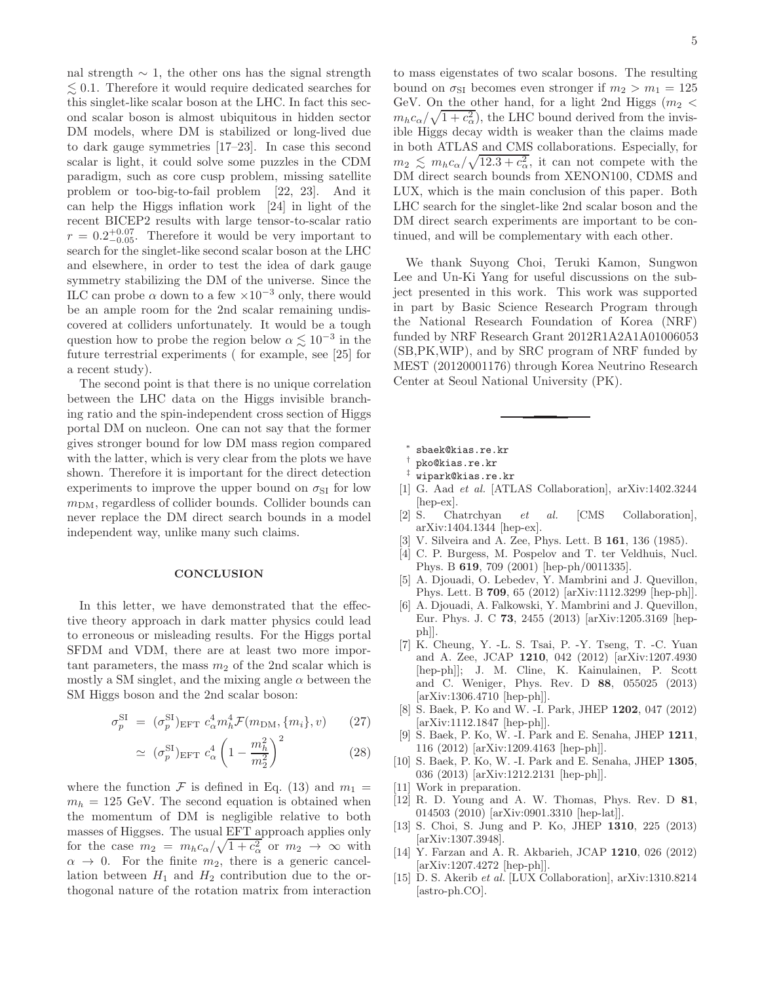nal strength  $\sim$  1, the other ons has the signal strength  $\leq 0.1$ . Therefore it would require dedicated searches for this singlet-like scalar boson at the LHC. In fact this second scalar boson is almost ubiquitous in hidden sector DM models, where DM is stabilized or long-lived due to dark gauge symmetries [17–23]. In case this second scalar is light, it could solve some puzzles in the CDM paradigm, such as core cusp problem, missing satellite problem or too-big-to-fail problem [22, 23]. And it can help the Higgs inflation work [24] in light of the recent BICEP2 results with large tensor-to-scalar ratio  $r = 0.2^{+0.07}_{-0.05}$ . Therefore it would be very important to search for the singlet-like second scalar boson at the LHC and elsewhere, in order to test the idea of dark gauge symmetry stabilizing the DM of the universe. Since the ILC can probe  $\alpha$  down to a few  $\times 10^{-3}$  only, there would be an ample room for the 2nd scalar remaining undiscovered at colliders unfortunately. It would be a tough question how to probe the region below  $\alpha \lesssim 10^{-3}$  in the future terrestrial experiments ( for example, see [25] for a recent study).

The second point is that there is no unique correlation between the LHC data on the Higgs invisible branching ratio and the spin-independent cross section of Higgs portal DM on nucleon. One can not say that the former gives stronger bound for low DM mass region compared with the latter, which is very clear from the plots we have shown. Therefore it is important for the direct detection experiments to improve the upper bound on  $\sigma_{\text{SI}}$  for low  $m<sub>DM</sub>$ , regardless of collider bounds. Collider bounds can never replace the DM direct search bounds in a model independent way, unlike many such claims.

## **CONCLUSION**

In this letter, we have demonstrated that the effective theory approach in dark matter physics could lead to erroneous or misleading results. For the Higgs portal SFDM and VDM, there are at least two more important parameters, the mass  $m_2$  of the 2nd scalar which is mostly a SM singlet, and the mixing angle  $\alpha$  between the SM Higgs boson and the 2nd scalar boson:

$$
\sigma_p^{\text{SI}} = (\sigma_p^{\text{SI}})_{\text{EFT}} c_\alpha^4 m_h^4 \mathcal{F}(m_{\text{DM}}, \{m_i\}, v) \qquad (27)
$$

$$
\simeq \left(\sigma_p^{\text{SI}}\right)_{\text{EFT}} c_\alpha^4 \left(1 - \frac{m_h^2}{m_2^2}\right)^2 \tag{28}
$$

where the function F is defined in Eq. (13) and  $m_1 =$  $m_h = 125$  GeV. The second equation is obtained when the momentum of DM is negligible relative to both masses of Higgses. The usual EFT approach applies only for the case  $m_2 = m_h c_\alpha / \sqrt{1 + c_\alpha^2}$  or  $m_2 \to \infty$  with  $\alpha \rightarrow 0$ . For the finite  $m_2$ , there is a generic cancellation between  $H_1$  and  $H_2$  contribution due to the orthogonal nature of the rotation matrix from interaction

to mass eigenstates of two scalar bosons. The resulting bound on  $\sigma_{SI}$  becomes even stronger if  $m_2 > m_1 = 125$ GeV. On the other hand, for a light 2nd Higgs ( $m_2$  <  $m_h c_\alpha / \sqrt{1 + c_\alpha^2}$ , the LHC bound derived from the invisible Higgs decay width is weaker than the claims made in both ATLAS and CMS collaborations. Especially, for  $m_2 \lesssim m_h c_\alpha / \sqrt{12.3 + c_\alpha^2}$ , it can not compete with the DM direct search bounds from XENON100, CDMS and LUX, which is the main conclusion of this paper. Both LHC search for the singlet-like 2nd scalar boson and the DM direct search experiments are important to be continued, and will be complementary with each other.

We thank Suyong Choi, Teruki Kamon, Sungwon Lee and Un-Ki Yang for useful discussions on the subject presented in this work. This work was supported in part by Basic Science Research Program through the National Research Foundation of Korea (NRF) funded by NRF Research Grant 2012R1A2A1A01006053 (SB,PK,WIP), and by SRC program of NRF funded by MEST (20120001176) through Korea Neutrino Research Center at Seoul National University (PK).

- ∗ sbaek@kias.re.kr
- † pko@kias.re.kr
- ‡ wipark@kias.re.kr
- [1] G. Aad et al. [ATLAS Collaboration], arXiv:1402.3244 [hep-ex].
- [2] S. Chatrchyan et al. [CMS Collaboration], arXiv:1404.1344 [hep-ex].
- [3] V. Silveira and A. Zee, Phys. Lett. B 161, 136 (1985).
- [4] C. P. Burgess, M. Pospelov and T. ter Veldhuis, Nucl. Phys. B 619, 709 (2001) [hep-ph/0011335].
- [5] A. Djouadi, O. Lebedev, Y. Mambrini and J. Quevillon, Phys. Lett. B 709, 65 (2012) [arXiv:1112.3299 [hep-ph]].
- [6] A. Djouadi, A. Falkowski, Y. Mambrini and J. Quevillon, Eur. Phys. J. C 73, 2455 (2013) [arXiv:1205.3169 [hepph]].
- [7] K. Cheung, Y. -L. S. Tsai, P. -Y. Tseng, T. -C. Yuan and A. Zee, JCAP 1210, 042 (2012) [arXiv:1207.4930 [hep-ph]]; J. M. Cline, K. Kainulainen, P. Scott and C. Weniger, Phys. Rev. D 88, 055025 (2013) [arXiv:1306.4710 [hep-ph]].
- [8] S. Baek, P. Ko and W. -I. Park, JHEP 1202, 047 (2012) [arXiv:1112.1847 [hep-ph]].
- [9] S. Baek, P. Ko, W. -I. Park and E. Senaha, JHEP 1211, 116 (2012) [arXiv:1209.4163 [hep-ph]].
- [10] S. Baek, P. Ko, W. -I. Park and E. Senaha, JHEP 1305, 036 (2013) [arXiv:1212.2131 [hep-ph]].
- [11] Work in preparation.
- [12] R. D. Young and A. W. Thomas, Phys. Rev. D 81, 014503 (2010) [arXiv:0901.3310 [hep-lat]].
- [13] S. Choi, S. Jung and P. Ko, JHEP 1310, 225 (2013) [arXiv:1307.3948].
- [14] Y. Farzan and A. R. Akbarieh, JCAP 1210, 026 (2012) [arXiv:1207.4272 [hep-ph]].
- [15] D. S. Akerib et al. [LUX Collaboration], arXiv:1310.8214 [astro-ph.CO].